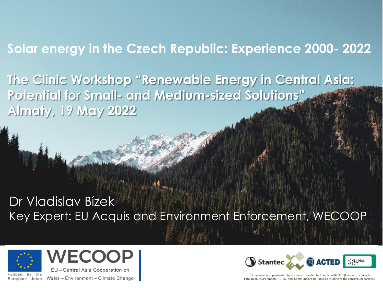## **Solar energy in the Czech Republic: Experience 2000- 2022**

**The Clinic Workshop "Renewable Energy in Central Asia: Potential for Small- and Medium-sized Solutions" Almaty, 19 May 2022**

# Dr Vladislav Bízek Key Expert: EU Acquis and Environment Enforcement, WECOOP





Funded by the Water - Environment - Climate Change European Union

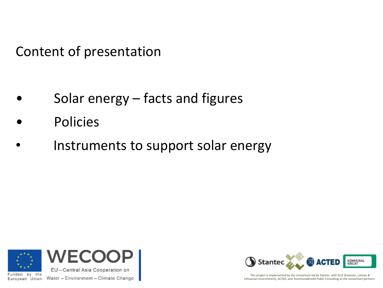Content of presentation

- Solar energy  $-$  facts and figures
- **Policies**
- Instruments to support solar energy



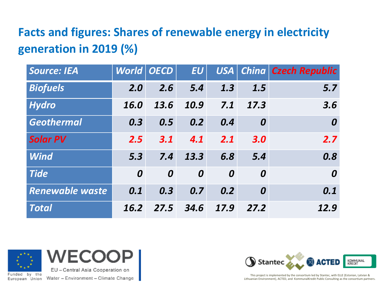# **Facts and figures: Shares of renewable energy in electricity generation in 2019 (%)**

| <b>Source: IEA</b>     | <b>World OECD</b> |      | EU   | USA  |      | China   Czech Republic |
|------------------------|-------------------|------|------|------|------|------------------------|
| <b>Biofuels</b>        | 2.0               | 2.6  | 5.4  | 1.3  | 1.5  | 5.7                    |
| <b>Hydro</b>           | 16.0              | 13.6 | 10.9 | 7.1  | 17.3 | 3.6                    |
| <b>Geothermal</b>      | 0.3               | 0.5  | 0.2  | 0.4  | 0    | $\boldsymbol{0}$       |
| <b>Solar PV</b>        | 2.5               | 3.1  | 4.1  | 2.1  | 3.0  | 2.7                    |
| <b>Wind</b>            | 5.3               | 7.4  | 13.3 | 6.8  | 5.4  | 0.8                    |
| <b>Tide</b>            | $\boldsymbol{0}$  | 0    | 0    | 0    | 0    | $\boldsymbol{0}$       |
| <b>Renewable waste</b> | 0.1               | 0.3  | 0.7  | 0.2  | 0    | 0.1                    |
| <b>Total</b>           | 16.2              | 27.5 | 34.6 | 17.9 | 27.2 | 12.9                   |



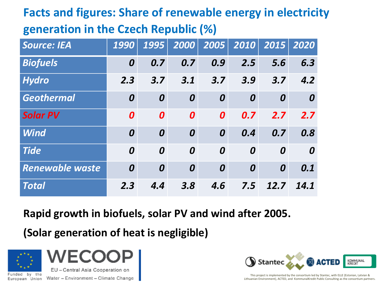# **Facts and figures: Share of renewable energy in electricity generation in the Czech Republic (%)**

| <b>Source: IEA</b>     | 1990 | 1995 | 2000             | 2005 | 2010 | 2015 | 2020             |
|------------------------|------|------|------------------|------|------|------|------------------|
| <b>Biofuels</b>        | 0    | 0.7  | 0.7              | 0.9  | 2.5  | 5.6  | 6.3              |
| <b>Hydro</b>           | 2.3  | 3.7  | 3.1              | 3.7  | 3.9  | 3.7  | 4.2              |
| <b>Geothermal</b>      | 0    | 0    | $\boldsymbol{0}$ | 0    | 0    | 0    | $\boldsymbol{0}$ |
| <b>Solar PV</b>        | 0    | 0    | $\boldsymbol{0}$ | 0    | 0.7  | 2.7  | 2.7              |
| <b>Wind</b>            | 0    | 0    | $\boldsymbol{0}$ | 0    | 0.4  | 0.7  | 0.8              |
| <b>Tide</b>            | 0    | 0    | $\boldsymbol{0}$ | 0    | 0    | 0    | $\boldsymbol{0}$ |
| <b>Renewable waste</b> | 0    | 0    | $\boldsymbol{0}$ | 0    | 0    | 0    | 0.1              |
| <b>Total</b>           | 2.3  | 4.4  | 3.8              | 4.6  | 7.5  | 12.7 | 14.1             |

#### **Rapid growth in biofuels, solar PV and wind after 2005.**

**(Solar generation of heat is negligible)**



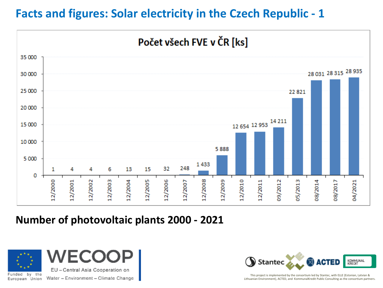## **Facts and figures: Solar electricity in the Czech Republic - 1**



#### **Number of photovoltaic plants 2000 - 2021**



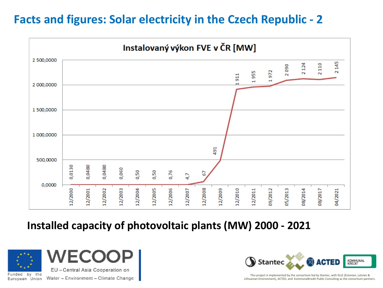## **Facts and figures: Solar electricity in the Czech Republic - 2**



#### **Installed capacity of photovoltaic plants (MW) 2000 - 2021**



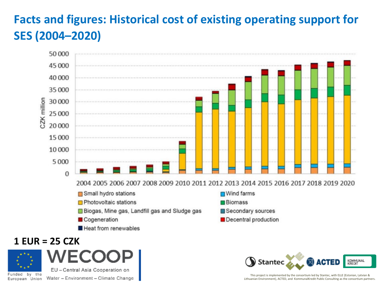# **Facts and figures: Historical cost of existing operating support for SES (2004–2020)**



#### **1 EUR = 25 CZK**



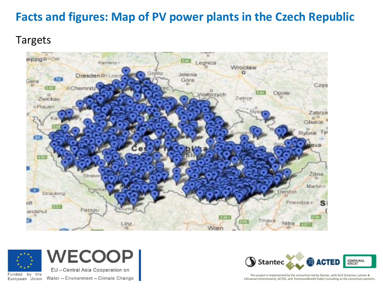## **Facts and figures: Map of PV power plants in the Czech Republic**

#### Targets





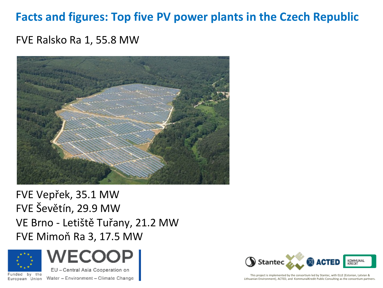### **Facts and figures: Top five PV power plants in the Czech Republic**

#### FVE Ralsko Ra 1, 55.8 MW



FVE Vepřek, 35.1 MW FVE Ševětín, 29.9 MW VE Brno - Letiště Tuřany, 21.2 MW FVE Mimoň Ra 3, 17.5 MW



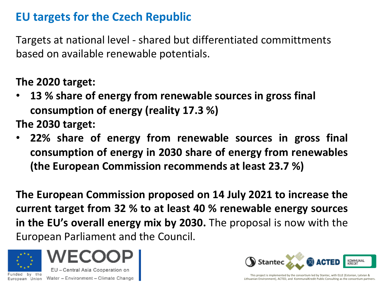## **EU targets for the Czech Republic**

Targets at national level - shared but differentiated committments based on available renewable potentials.

#### **The 2020 target:**

• **13 % share of energy from renewable sources in gross final consumption of energy (reality 17.3 %)**

**The 2030 target:**

• **22% share of energy from renewable sources in gross final consumption of energy in 2030 share of energy from renewables (the European Commission recommends at least 23.7 %)**

**The European Commission proposed on 14 July 2021 to increase the current target from 32 % to at least 40 % renewable energy sources in the EU's overall energy mix by 2030.** The proposal is now with the European Parliament and the Council.



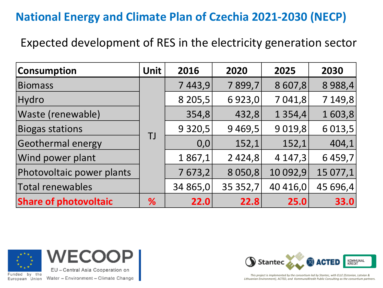## **National Energy and Climate Plan of Czechia 2021-2030 (NECP)**

Expected development of RES in the electricity generation sector

| <b>Consumption</b>           | Unit | 2016      | 2020      | 2025        | 2030      |
|------------------------------|------|-----------|-----------|-------------|-----------|
| <b>Biomass</b>               |      | 7443,9    | 7899,7    | 8 607,8     | 8 9 8 8,4 |
| Hydro                        |      | 8 2 0 5,5 | 6923,0    | 7 041,8     | 7 149,8   |
| Waste (renewable)            |      | 354,8     | 432,8     | 1 3 5 4 , 4 | 1603,8    |
| <b>Biogas stations</b>       | TJ   | 9 3 2 0,5 | 9469,5    | 9 0 19,8    | 6 0 13,5  |
| <b>Geothermal energy</b>     |      | 0,0       | 152,1     | 152,1       | 404,1     |
| Wind power plant             |      | 1867,1    | 2424,8    | 4 147,3     | 6459,7    |
| Photovoltaic power plants    |      | 7673,2    | 8 0 5 0,8 | 10 092,9    | 15 077,1  |
| Total renewables             |      | 34 865,0  | 35 352,7  | 40 416,0    | 45 696,4  |
| <b>Share of photovoltaic</b> | %    | 22.0      | 22.8      | 25.0        | 33.0      |



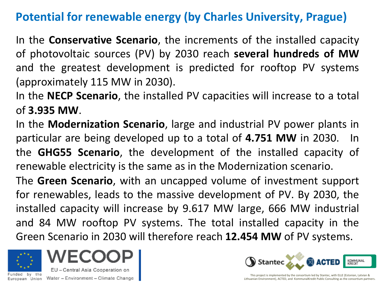## **Potential for renewable energy (by Charles University, Prague)**

In the **Conservative Scenario**, the increments of the installed capacity of photovoltaic sources (PV) by 2030 reach **several hundreds of MW** and the greatest development is predicted for rooftop PV systems (approximately 115 MW in 2030).

In the **NECP Scenario**, the installed PV capacities will increase to a total of **3.935 MW**.

In the **Modernization Scenario**, large and industrial PV power plants in particular are being developed up to a total of **4.751 MW** in 2030. In the **GHG55 Scenario**, the development of the installed capacity of renewable electricity is the same as in the Modernization scenario.

The **Green Scenario**, with an uncapped volume of investment support for renewables, leads to the massive development of PV. By 2030, the installed capacity will increase by 9.617 MW large, 666 MW industrial and 84 MW rooftop PV systems. The total installed capacity in the Green Scenario in 2030 will therefore reach **12.454 MW** of PV systems.



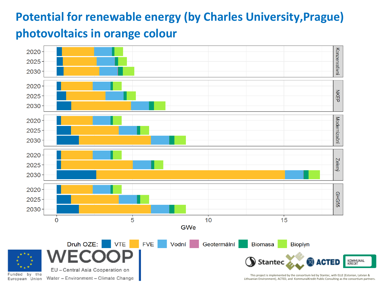# **Potential for renewable energy (by Charles University,Prague) photovoltaics in orange colour**



Lithuanian Environment), ACTED, and KommunalKredit Public Consulting as the consortium partners.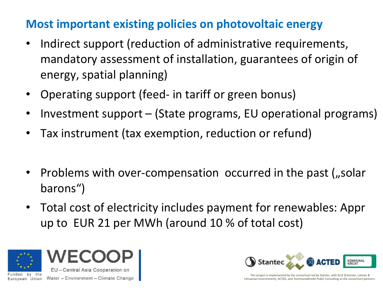## **Most important existing policies on photovoltaic energy**

- Indirect support (reduction of administrative requirements, mandatory assessment of installation, guarantees of origin of energy, spatial planning)
- Operating support (feed- in tariff or green bonus)
- Investment support (State programs, EU operational programs)
- Tax instrument (tax exemption, reduction or refund)
- Problems with over-compensation occurred in the past (*"solar* barons")
- Total cost of electricity includes payment for renewables: Appr up to EUR 21 per MWh (around 10 % of total cost)



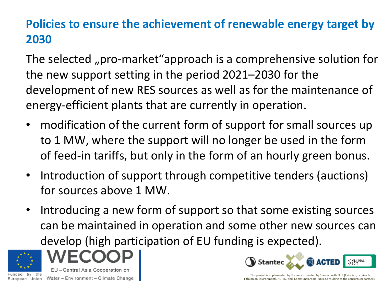# **Policies to ensure the achievement of renewable energy target by 2030**

The selected "pro-market"approach is a comprehensive solution for the new support setting in the period 2021–2030 for the development of new RES sources as well as for the maintenance of energy-efficient plants that are currently in operation.

- modification of the current form of support for small sources up to 1 MW, where the support will no longer be used in the form of feed-in tariffs, but only in the form of an hourly green bonus.
- Introduction of support through competitive tenders (auctions) for sources above 1 MW.
- Introducing a new form of support so that some existing sources can be maintained in operation and some other new sources can develop (high participation of EU funding is expected).